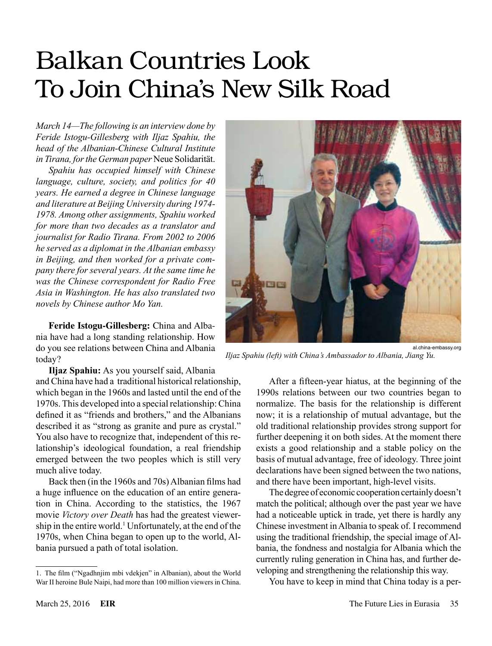## Balkan Countries Look To Join China's New Silk Road

*March 14—The following is an interview done by Feride Istogu-Gillesberg with Iljaz Spahiu, the head of the Albanian-Chinese Cultural Institute in Tirana, for the German paper* Neue Solidarität.

*Spahiu has occupied himself with Chinese language, culture, society, and politics for 40 years. He earned a degree in Chinese language and literature at Beijing University during 1974- 1978. Among other assignments, Spahiu worked for more than two decades as a translator and journalist for Radio Tirana. From 2002 to 2006 he served as a diplomat in the Albanian embassy in Beijing, and then worked for a private company there for several years. At the same time he was the Chinese correspondent for Radio Free Asia in Washington. He has also translated two novels by Chinese author Mo Yan.*

**Feride Istogu-Gillesberg:** China and Albania have had a long standing relationship. How do you see relations between China and Albania today?

**Iljaz Spahiu:** As you yourself said, Albania and China have had a traditional historical relationship, which began in the 1960s and lasted until the end of the 1970s. This developed into a special relationship: China defined it as "friends and brothers," and the Albanians described it as "strong as granite and pure as crystal." You also have to recognize that, independent of this relationship's ideological foundation, a real friendship emerged between the two peoples which is still very much alive today.

Back then (in the 1960s and 70s) Albanian films had a huge influence on the education of an entire generation in China. According to the statistics, the 1967 movie *Victory over Death* has had the greatest viewership in the entire world.<sup>1</sup> Unfortunately, at the end of the 1970s, when China began to open up to the world, Albania pursued a path of total isolation.



*Iljaz Spahiu (left) with China's Ambassador to Albania, Jiang Yu.*

After a fifteen-year hiatus, at the beginning of the 1990s relations between our two countries began to normalize. The basis for the relationship is different now; it is a relationship of mutual advantage, but the old traditional relationship provides strong support for further deepening it on both sides. At the moment there exists a good relationship and a stable policy on the basis of mutual advantage, free of ideology. Three joint declarations have been signed between the two nations, and there have been important, high-level visits.

The degree of economic cooperation certainly doesn't match the political; although over the past year we have had a noticeable uptick in trade, yet there is hardly any Chinese investment in Albania to speak of. I recommend using the traditional friendship, the special image of Albania, the fondness and nostalgia for Albania which the currently ruling generation in China has, and further developing and strengthening the relationship this way.

You have to keep in mind that China today is a per-

<sup>1.</sup> The film ("Ngadhnjim mbi vdekjen" in Albanian), about the World War II heroine Bule Naipi, had more than 100 million viewers in China.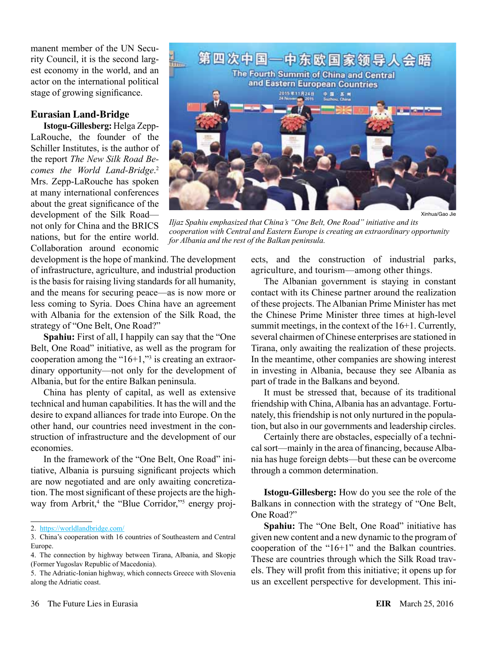manent member of the UN Security Council, it is the second largest economy in the world, and an actor on the international political stage of growing significance.

## **Eurasian Land-Bridge**

**Istogu-Gillesberg:** Helga Zepp-LaRouche, the founder of the Schiller Institutes, is the author of the report *The New Silk Road Becomes the World Land-Bridge*. 2 Mrs. Zepp-LaRouche has spoken at many international conferences about the great significance of the development of the Silk Road not only for China and the BRICS nations, but for the entire world. Collaboration around economic



*Iljaz Spahiu emphasized that China's "One Belt, One Road" initiative and its cooperation with Central and Eastern Europe is creating an extraordinary opportunity for Albania and the rest of the Balkan peninsula.*

development is the hope of mankind. The development of infrastructure, agriculture, and industrial production is the basis for raising living standards for all humanity, and the means for securing peace—as is now more or less coming to Syria. Does China have an agreement with Albania for the extension of the Silk Road, the strategy of "One Belt, One Road?"

**Spahiu:** First of all, I happily can say that the "One Belt, One Road" initiative, as well as the program for cooperation among the " $16+1$ ,"<sup>3</sup> is creating an extraordinary opportunity—not only for the development of Albania, but for the entire Balkan peninsula.

China has plenty of capital, as well as extensive technical and human capabilities. It has the will and the desire to expand alliances for trade into Europe. On the other hand, our countries need investment in the construction of infrastructure and the development of our economies.

In the framework of the "One Belt, One Road" initiative, Albania is pursuing significant projects which are now negotiated and are only awaiting concretization. The most significant of these projects are the highway from Arbrit,<sup>4</sup> the "Blue Corridor,"<sup>5</sup> energy projects, and the construction of industrial parks, agriculture, and tourism—among other things.

The Albanian government is staying in constant contact with its Chinese partner around the realization of these projects. The Albanian Prime Minister has met the Chinese Prime Minister three times at high-level summit meetings, in the context of the 16+1. Currently, several chairmen of Chinese enterprises are stationed in Tirana, only awaiting the realization of these projects. In the meantime, other companies are showing interest in investing in Albania, because they see Albania as part of trade in the Balkans and beyond.

It must be stressed that, because of its traditional friendship with China, Albania has an advantage. Fortunately, this friendship is not only nurtured in the population, but also in our governments and leadership circles.

Certainly there are obstacles, especially of a technical sort—mainly in the area of financing, because Albania has huge foreign debts—but these can be overcome through a common determination.

**Istogu-Gillesberg:** How do you see the role of the Balkans in connection with the strategy of "One Belt, One Road?"

**Spahiu:** The "One Belt, One Road" initiative has given new content and a new dynamic to the program of cooperation of the "16+1" and the Balkan countries. These are countries through which the Silk Road travels. They will profit from this initiative; it opens up for us an excellent perspective for development. This ini-

<sup>2.</sup> <https://worldlandbridge.com/>

<sup>3.</sup> China's cooperation with 16 countries of Southeastern and Central Europe.

<sup>4.</sup> The connection by highway between Tirana, Albania, and Skopje (Former Yugoslav Republic of Macedonia).

<sup>5.</sup> The Adriatic-Ionian highway, which connects Greece with Slovenia along the Adriatic coast.